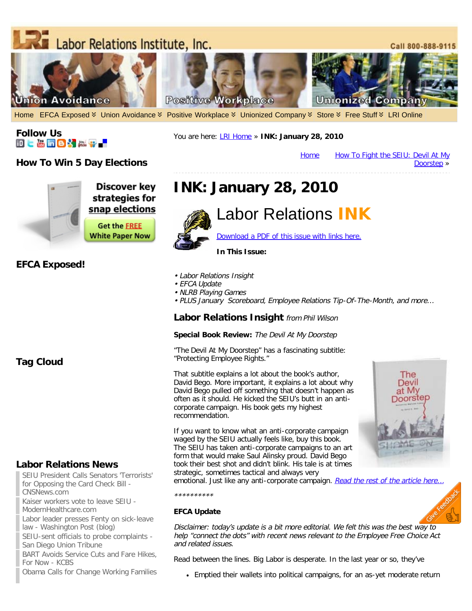<span id="page-0-0"></span>

**Follow Us iD** c m in e x m g -

You are here: [LRI Home](http://lrionline.com/) » **INK: January 28, 2010**

[Home](http://lrionline.com/) [How To Fight the SEIU: Devil At My](http://lrionline.com/fight-seiu-devil-doorstep) [Doorstep](http://lrionline.com/fight-seiu-devil-doorstep) »

# **How To Win 5 Day Elections**



Discover key strategies for snap elections

**Get the FREE White Paper Now** 

# **EFCA Exposed!**

**Tag Cloud**

# **Labor Relations News**

[SEIU President Calls Senators 'Terrorists'](http://news.google.com/news/url?fd=R&sa=T&url=http%3A%2F%2Fwww.cnsnews.com%2Fpublic%2Fchecker.aspx%3FrsrcID%3D60570&usg=AFQjCNFqUFfMCuVEDQxD1XN5UcrPQsvTiQ) [for Opposing the Card Check Bill -](http://news.google.com/news/url?fd=R&sa=T&url=http%3A%2F%2Fwww.cnsnews.com%2Fpublic%2Fchecker.aspx%3FrsrcID%3D60570&usg=AFQjCNFqUFfMCuVEDQxD1XN5UcrPQsvTiQ) [CNSNews.com](http://news.google.com/news/url?fd=R&sa=T&url=http%3A%2F%2Fwww.cnsnews.com%2Fpublic%2Fchecker.aspx%3FrsrcID%3D60570&usg=AFQjCNFqUFfMCuVEDQxD1XN5UcrPQsvTiQ)

[Kaiser workers vote to leave SEIU -](http://news.google.com/news/url?fd=R&sa=T&url=http%3A%2F%2Fwww.modernhealthcare.com%2Farticle%2F20100127%2FNEWS%2F301279959&usg=AFQjCNGAWThrYqpX62ij_WruKmAYtazZKg) [ModernHealthcare.com](http://news.google.com/news/url?fd=R&sa=T&url=http%3A%2F%2Fwww.modernhealthcare.com%2Farticle%2F20100127%2FNEWS%2F301279959&usg=AFQjCNGAWThrYqpX62ij_WruKmAYtazZKg)

[Labor leader presses Fenty on sick-leave](http://news.google.com/news/url?fd=R&sa=T&url=http%3A%2F%2Fvoices.washingtonpost.com%2Fdc%2F2010%2F01%2Flabor_leader_presses_fenty_on.html&usg=AFQjCNFLrJFaj1ZvZN_uCm-7gf5pDsowTg) [law - Washington Post \(blog\)](http://news.google.com/news/url?fd=R&sa=T&url=http%3A%2F%2Fvoices.washingtonpost.com%2Fdc%2F2010%2F01%2Flabor_leader_presses_fenty_on.html&usg=AFQjCNFLrJFaj1ZvZN_uCm-7gf5pDsowTg)

[SEIU-sent officials to probe complaints -](http://news.google.com/news/url?fd=R&sa=T&url=http%3A%2F%2Fwww.signonsandiego.com%2Fnews%2F2010%2Fjan%2F28%2Fseiu-sent-officials-to-probe-complaints%2F&usg=AFQjCNG1J019MCkO-Gn9zBptSHT5oqQeuw) [San Diego Union Tribune](http://news.google.com/news/url?fd=R&sa=T&url=http%3A%2F%2Fwww.signonsandiego.com%2Fnews%2F2010%2Fjan%2F28%2Fseiu-sent-officials-to-probe-complaints%2F&usg=AFQjCNG1J019MCkO-Gn9zBptSHT5oqQeuw)

[BART Avoids Service Cuts and Fare Hikes,](http://news.google.com/news/url?fd=R&sa=T&url=http%3A%2F%2Fwww.kcbs.com%2FBART-Avoids-Service-Cuts-and-Fare-Hikes--For-Now%2F6231775&usg=AFQjCNE0lDxzTWxIldMIGcQfUSap9GezYA) [For Now - KCBS](http://news.google.com/news/url?fd=R&sa=T&url=http%3A%2F%2Fwww.kcbs.com%2FBART-Avoids-Service-Cuts-and-Fare-Hikes--For-Now%2F6231775&usg=AFQjCNE0lDxzTWxIldMIGcQfUSap9GezYA)

[Obama Calls for Change Working Families](http://news.google.com/news/url?fd=R&sa=T&url=http%3A%2F%2Fwww.prnewswire.com%2Fnews-releases%2Fobama-calls-for-change-working-families-are-still-waiting-for-82856952.html&usg=AFQjCNGO6vpoJr8juuoKQtclbtAbRNMBng)

# **INK: January 28, 2010**



# Labor Relations INK

[Download a PDF of this issue with links here.](http://www.lrionline.com/wp-content/uploads/ink-january-28-2010.pdf)

**In This Issue:**

- Labor Relations Insight
- EFCA Update
- NLRB Playing Games
- PLUS January Scoreboard, Employee Relations Tip-Of-The-Month, and more…

# **Labor Relations Insight** from Phil Wilson

### **Special Book Review:** The Devil At My Doorstep

"The Devil At My Doorstep" has a fascinating subtitle: "Protecting Employee Rights."

That subtitle explains a lot about the book's author, David Bego. More important, it explains a lot about why David Bego pulled off something that doesn't happen as often as it should. He kicked the SEIU's butt in an anticorporate campaign. His book gets my highest recommendation.

If you want to know what an anti-corporate campaign waged by the SEIU actually feels like, buy this book. The SEIU has taken anti-corporate campaigns to an art form that would make Saul Alinsky proud. David Bego took their best shot and didn't blink. His tale is at times strategic, sometimes tactical and always very

emotional. Just like any anti-corporate campaign. Read the rest of the article here.

# \*\*\*\*\*\*\*\*\*\*

## **EFCA Update**

Disclaimer: today's update is a bit more editorial. We felt this was the best way to help "connect the dots" with recent news relevant to the Employee Free Choice Act and related issues.

Read between the lines. Big Labor is desperate. In the last year or so, they've

Emptied their wallets into political campaigns, for an as-yet moderate return

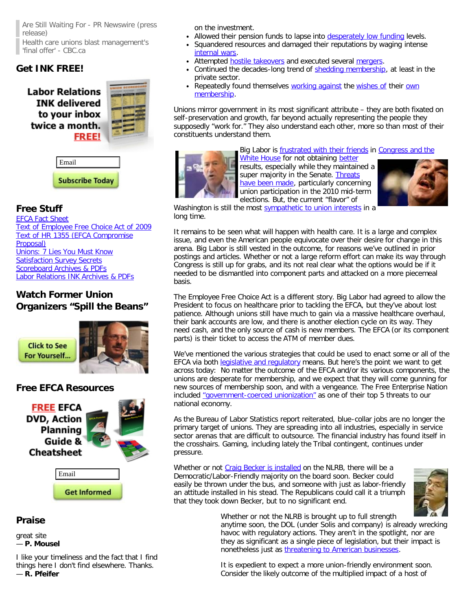[Are Still Waiting For - PR Newswire \(press](http://news.google.com/news/url?fd=R&sa=T&url=http%3A%2F%2Fwww.prnewswire.com%2Fnews-releases%2Fobama-calls-for-change-working-families-are-still-waiting-for-82856952.html&usg=AFQjCNGO6vpoJr8juuoKQtclbtAbRNMBng) [release\)](http://news.google.com/news/url?fd=R&sa=T&url=http%3A%2F%2Fwww.prnewswire.com%2Fnews-releases%2Fobama-calls-for-change-working-families-are-still-waiting-for-82856952.html&usg=AFQjCNGO6vpoJr8juuoKQtclbtAbRNMBng) [Health care unions blast management's](http://news.google.com/news/url?fd=R&sa=T&url=http%3A%2F%2Fwww.cbc.ca%2Fcanada%2Fsaskatchewan%2Fstory%2F2010%2F01%2F28%2Fsk-health-dispute-1001.html&usg=AFQjCNHJZCCNN0a5uMvex8HaXftnKPGSdw) ['final offer' - CBC.ca](http://news.google.com/news/url?fd=R&sa=T&url=http%3A%2F%2Fwww.cbc.ca%2Fcanada%2Fsaskatchewan%2Fstory%2F2010%2F01%2F28%2Fsk-health-dispute-1001.html&usg=AFQjCNHJZCCNN0a5uMvex8HaXftnKPGSdw)

# **Get INK FREE!**

**Labor Relations INK delivered** to your inbox twice a month. **FREE!** 





## **Free Stuff**

[EFCA Fact Sheet](http://www.lrionline.com/media/wp-content/uploads/efca_fact_sheet.pdf) [Text of Employee Free Choice Act of 2009](http://www.lrionline.com/lri/wp-content/uploads/hr_1409.pdf) [Text of HR 1355 \(EFCA Compromise](http://www.lrionline.com/lri/wp-content/uploads/hr_1355.pdf) [Proposal\)](http://www.lrionline.com/lri/wp-content/uploads/hr_1355.pdf) [Unions: 7 Lies You Must Know](http://www.lrionline.com/union_avoidance/7_lies.htm) [Satisfaction Survey Secrets](http://www.lrionline.com/positive_employee_relations/satisfaction-survey-secrets.htm) [Scoreboard Archives & PDFs](http://lrionline.com/current-scoreboard) [Labor Relations INK Archives & PDFs](http://www.lrionline.com/ink-archives)

# **Watch Former Union Organizers "Spill the Beans"**



## **Free EFCA Resources**



## **Praise**

great site — **P. Mousel**

I like your timeliness and the fact that I find things here I don't find elsewhere. Thanks. — **R. Pfeifer**

on the investment.

- Allowed their pension funds to lapse into [desperately low funding](http://lrionline.com/ink-september-11-2009) levels.
- Squandered resources and damaged their reputations by waging intense  $\bullet$ [internal wars](http://lrionline.com/february-12-2009).
- Attempted [hostile takeovers](http://lrionline.com/ink-november-12-2009) and executed several [mergers](http://lrionline.com/ink-september-24-2009).
- Continued the decades-long trend of [shedding membership,](http://www.nytimes.com/2010/01/23/business/23labor.html?em) at least in the private sector.
- Repeatedly found themselves [working against](http://spectator.org/blog/2010/01/15/purple-for-brown-seiu-member-s) the [wishes of](http://online.wsj.com/article/SB10001424052748704423204575017690900226982.html) their [own](http://townhall.com/columnists/KatiePacker/2010/01/26/even_union_members_don%E2%80%99t_want_government_intrusion_into_their_lives) [membership.](http://townhall.com/columnists/KatiePacker/2010/01/26/even_union_members_don%E2%80%99t_want_government_intrusion_into_their_lives)

Unions mirror government in its most significant attribute – they are both fixated on self-preservation and growth, far beyond actually representing the people they supposedly "work for." They also understand each other, more so than most of their constituents understand them.



Big Labor is [frustrated with their friends](http://www.youtube.com/watch?v=0X1ii9uWnJI) in [Congress and the](http://www.huffingtonpost.com/2010/01/26/stern-lashes-out-at-senat_n_436700.html) [White House](http://www.huffingtonpost.com/2010/01/26/stern-lashes-out-at-senat_n_436700.html) for not obtaining [better](http://thehill.com/blogs/blog-briefing-room/news/76951-labor-mass-results-send-sobering-reminder-to-lawmakers-to-get-results) results, especially while they maintained a

super majority in the Senate. [Threats](http://lrionline.com/ink-january-14-2010) [have been made](http://lrionline.com/ink-january-14-2010), particularly concerning union participation in the 2010 mid-term elections. But, the current "flavor" of



Washington is still the most [sympathetic to union interests](http://biggovernment.com/2010/01/20/transforming-the-u-s-department-of-labor-to-the-department-of-organized-labor/) in a long time.

It remains to be seen what will happen with health care. It is a large and complex issue, and even the American people equivocate over their desire for change in this arena. Big Labor is still vested in the outcome, for reasons we've outlined in prior postings and articles. Whether or not a large reform effort can make its way through Congress is still up for grabs, and its not real clear what the options would be if it needed to be dismantled into component parts and attacked on a more piecemeal basis.

The Employee Free Choice Act is a different story. Big Labor had agreed to allow the President to focus on healthcare prior to tackling the EFCA, but they've about lost patience. Although unions still have much to gain via a massive healthcare overhaul, their bank accounts are low, and there is another election cycle on its way. They need cash, and the only source of cash is new members. The EFCA (or its component parts) is their ticket to access the ATM of member dues.

We've mentioned the various strategies that could be used to enact some or all of the EFCA via both [legislative and regulatory](http://lrionline.com/employee-free-choice-act-act) means. But here's the point we want to get across today: No matter the outcome of the EFCA and/or its various components, the unions are desperate for membership, and we expect that they will come gunning for new sources of membership soon, and with a vengeance. The Free Enterprise Nation included ["government-coerced unionization"](http://www.benzinga.com/press-releases/b92651/the-top-five-economic-threats-to-america-in-2010) as one of their top 5 threats to our national economy.

As the Bureau of Labor Statistics report reiterated, blue-collar jobs are no longer the primary target of unions. They are spreading into all industries, especially in service sector arenas that are difficult to outsource. The financial industry has found itself in the crosshairs. Gaming, including lately the Tribal contingent, continues under pressure.

Whether or not [Craig Becker is installed](http://thehill.com/business-a-lobbying/77869-labor-board-nominee-heats-up-card-check-fight) on the NLRB, there will be a Democratic/Labor-Friendly majority on the board soon. Becker could easily be thrown under the bus, and someone with just as labor-friendly an attitude installed in his stead. The Republicans could call it a triumph that they took down Becker, but to no significant end.



Whether or not the NLRB is brought up to full strength anytime soon, the DOL (under Solis and company) is already wrecking havoc with regulatory actions. They aren't in the spotlight, nor are

they as significant as a single piece of legislation, but their impact is nonetheless just as [threatening to American businesses](http://www.dcemploymentlawupdate.com/2010/01/articles/congressional-leadership/how-will-browns-win-impact-labor-and-employment-law/index.html).

It is expedient to expect a more union-friendly environment soon. Consider the likely outcome of the multiplied impact of a host of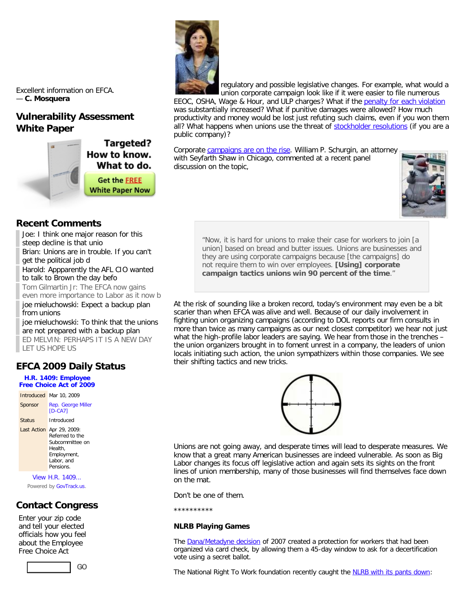Excellent information on EFCA. — **C. Mosquera**

# **Vulnerability Assessment White Paper**



# **Recent Comments**

Joe: I think one major reason for this steep decline is that unio Brian: Unions are in trouble. If you can't

get the political job d

Harold: Appparently the AFL CIO wanted to talk to Brown the day befo

[Tom Gilmartin Jr: The EFCA now gains](http://n/a) [even more importance to Labor as it now b](http://n/a)

joe mieluchowski: Expect a backup plan from unions

joe mieluchowski: To think that the unions are not prepared with a backup plan ED MELVIN: PERHAPS IT IS A NEW DAY LET US HOPE US

# **EFCA 2009 Daily Status**

### **H.R. 1409: Employee Free Choice Act of 2009**

| Introduced    | Mar 10, 2009                                                                                            |
|---------------|---------------------------------------------------------------------------------------------------------|
| Sponsor       | Rep. George Miller<br>$[D-CA7]$                                                                         |
| <b>Status</b> | Introduced                                                                                              |
| Last Action   | Apr 29, 2009:<br>Referred to the<br>Subcommittee on<br>Health.<br>Employment,<br>Labor, and<br>Pensions |

[View H.R. 1409...](http://www.govtrack.us/congress/bill.xpd?bill=h111-1409) Powered by **GovTrack.us.** 

# **Contact Congress**

Enter your zip code and tell your elected officials how you feel about the Employee Free Choice Act





regulatory and possible legislative changes. For example, what would a union corporate campaign look like if it were easier to file numerous

EEOC, OSHA, Wage & Hour, and ULP charges? What if the [penalty for each violation](http://www.businessbrief.com/if-union-comes-knocking-will-you-be-ready/) was substantially increased? What if punitive damages were allowed? How much productivity and money would be lost just refuting such claims, even if you won them all? What happens when unions use the threat of [stockholder resolutions](http://biggovernment.com/2010/01/27/seius-secret-weapon-if-obamas-plan-fails-brandish-the-shareholder-resolution/) (if you are a public company)?

Corporate [campaigns are on the rise](http://news.bna.com/lrln/LRLNWB/split_display.adp?fedfid=16050294&vname=lrwnotallissues&fn=16050294&jd=a0c1w2g6p8&split=0). William P. Schurgin, an attorney with Seyfarth Shaw in Chicago, commented at a recent panel discussion on the topic,



"Now, it is hard for unions to make their case for workers to join [a union] based on bread and butter issues. Unions are businesses and they are using corporate campaigns because [the campaigns] do not require them to win over employees. **[Using] corporate campaign tactics unions win 90 percent of the time**."

At the risk of sounding like a broken record, today's environment may even be a bit scarier than when EFCA was alive and well. Because of our daily involvement in fighting union organizing campaigns (according to DOL reports our firm consults in more than twice as many campaigns as our next closest competitor) we hear not just what the high-profile labor leaders are saying. We hear from those in the trenches – the union organizers brought in to foment unrest in a company, the leaders of union locals initiating such action, the union sympathizers within those companies. We see their shifting tactics and new tricks.



Unions are not going away, and desperate times will lead to desperate measures. We know that a great many American businesses are indeed vulnerable. As soon as Big Labor changes its focus off legislative action and again sets its sights on the front lines of union membership, many of those businesses will find themselves face down on the mat.

Don't be one of them.

\*\*\*\*\*\*\*\*\*\*

### **NLRB Playing Games**

The [Dana/Metadyne decision](http://www.nrtw.org/press/2007/10/national-right-work-secures-new-rights-employees-protect-against-abusive-union-card-ch) of 2007 created a protection for workers that had been organized via card check, by allowing them a 45-day window to ask for a decertification vote using a secret ballot.

The National Right To Work foundation recently caught the [NLRB with its pants down:](http://www.nrtw.org/en/blog/foundation-request-spurs-01201310)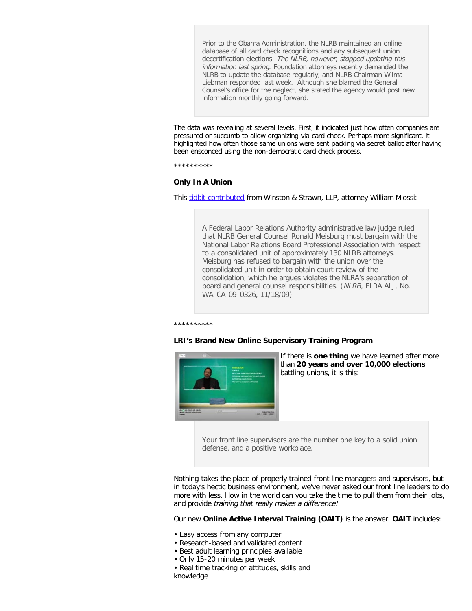Prior to the Obama Administration, the NLRB maintained an online database of all card check recognitions and any subsequent union decertification elections. The NLRB, however, stopped updating this information last spring. Foundation attorneys recently demanded the NLRB to update the database regularly, and NLRB Chairman Wilma Liebman responded last week. Although she blamed the General Counsel's office for the neglect, she stated the agency would post new information monthly going forward.

The data was revealing at several levels. First, it indicated just how often companies are pressured or succumb to allow organizing via card check. Perhaps more significant, it highlighted how often those same unions were sent packing via secret ballot after having been ensconced using the non-democratic card check process.

\*\*\*\*\*\*\*\*\*\*

### **Only In A Union**

This [tidbit contributed](http://www.lexology.com/library/detail.aspx?g=41c0cc64-6707-4d92-8885-f46c312e6c7d&utm_source=Lexology%20Daily%20Newsfeed&utm_medium=Email&utm_campaign=Lexology%20subscriber%20daily%20feed&utm_content=Lexology%20Daily%20Newsfeed%202010-01-19&utm_term=) from Winston & Strawn, LLP, attorney William Miossi:

A Federal Labor Relations Authority administrative law judge ruled that NLRB General Counsel Ronald Meisburg must bargain with the National Labor Relations Board Professional Association with respect to a consolidated unit of approximately 130 NLRB attorneys. Meisburg has refused to bargain with the union over the consolidated unit in order to obtain court review of the consolidation, which he argues violates the NLRA's separation of board and general counsel responsibilities. (NLRB, FLRA ALJ, No. WA-CA-09-0326, 11/18/09)

\*\*\*\*\*\*\*\*\*\*

### **LRI's Brand New Online Supervisory Training Program**



If there is **one thing** we have learned after more than **20 years and over 10,000 elections** battling unions, it is this:

Your front line supervisors are the number one key to a solid union defense, and a positive workplace.

Nothing takes the place of properly trained front line managers and supervisors, but in today's hectic business environment, we've never asked our front line leaders to do more with less. How in the world can you take the time to pull them from their jobs, and provide training that really makes a difference!

Our new **Online Active Interval Training (OAIT)** is the answer. **OAIT** includes:

- Easy access from any computer
- Research-based and validated content
- Best adult learning principles available
- Only 15-20 minutes per week
- Real time tracking of attitudes, skills and knowledge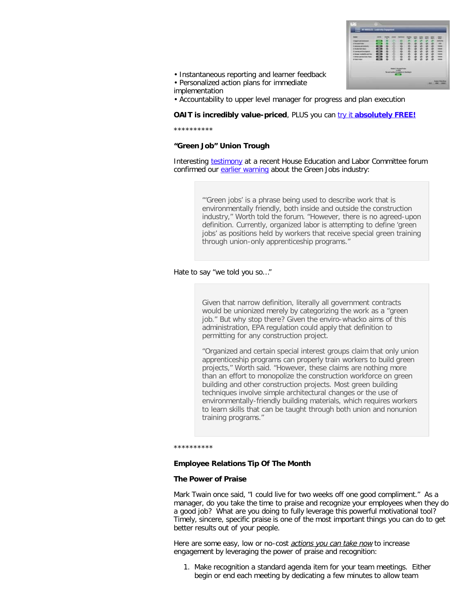

- Instantaneous reporting and learner feedback
- Personalized action plans for immediate
- implementation
- Accountability to upper level manager for progress and plan execution

### **OAIT is incredibly value-priced**, PLUS you can [try it](http://lrionline.com/online-supervisor-training) **[absolutely FREE!](http://lrionline.com/online-supervisor-training)**

\*\*\*\*\*\*\*\*\*\*

### **"Green Job" Union Trough**

Interesting [testimony](http://4mainstreet.wordpress.com/2010/01/22/unions-try-to-monopolize-green-jobs/) at a recent House Education and Labor Committee forum confirmed our *earlier warning* about the Green Jobs industry:

> "'Green jobs' is a phrase being used to describe work that is environmentally friendly, both inside and outside the construction industry," Worth told the forum. "However, there is no agreed-upon definition. Currently, organized labor is attempting to define 'green jobs' as positions held by workers that receive special green training through union-only apprenticeship programs."

### Hate to say "we told you so…"

Given that narrow definition, literally all government contracts would be unionized merely by categorizing the work as a "green job." But why stop there? Given the enviro-whacko aims of this administration, EPA regulation could apply that definition to permitting for any construction project.

"Organized and certain special interest groups claim that only union apprenticeship programs can properly train workers to build green projects," Worth said. "However, these claims are nothing more than an effort to monopolize the construction workforce on green building and other construction projects. Most green building techniques involve simple architectural changes or the use of environmentally-friendly building materials, which requires workers to learn skills that can be taught through both union and nonunion training programs."

#### \*\*\*\*\*\*\*\*\*\*

### **Employee Relations Tip Of The Month**

### **The Power of Praise**

Mark Twain once said, "I could live for two weeks off one good compliment." As a manager, do you take the time to praise and recognize your employees when they do a good job? What are you doing to fully leverage this powerful motivational tool? Timely, sincere, specific praise is one of the most important things you can do to get better results out of your people.

Here are some easy, low or no-cost **actions you can take now** to increase engagement by leveraging the power of praise and recognition:

1. Make recognition a standard agenda item for your team meetings. Either begin or end each meeting by dedicating a few minutes to allow team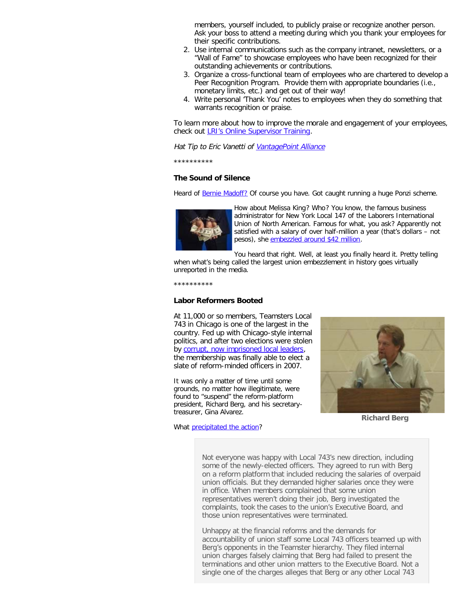members, yourself included, to publicly praise or recognize another person. Ask your boss to attend a meeting during which you thank your employees for their specific contributions.

- 2. Use internal communications such as the company intranet, newsletters, or a "Wall of Fame" to showcase employees who have been recognized for their outstanding achievements or contributions.
- 3. Organize a cross-functional team of employees who are chartered to develop a Peer Recognition Program. Provide them with appropriate boundaries (i.e., monetary limits, etc.) and get out of their way!
- 4. Write personal 'Thank You' notes to employees when they do something that warrants recognition or praise.

To learn more about how to improve the morale and engagement of your employees, check out [LRI's Online Supervisor Training.](http://lrionline.com/online-supervisor-training)

Hat Tip to Eric Vanetti of [VantagePoint Alliance](http://vantagepointalliance.com/about)

\*\*\*\*\*\*\*\*\*\*

### **The Sound of Silence**

Heard of [Bernie Madoff?](http://en.wikipedia.org/wiki/Bernard_Madoff) Of course you have. Got caught running a huge Ponzi scheme.



How about Melissa King? Who? You know, the famous business administrator for New York Local 147 of the Laborers International Union of North American. Famous for what, you ask? Apparently not satisfied with a salary of over half-million a year (that's dollars – not pesos), she [embezzled around \\$42 million.](http://bigjournalism.com/brjohnson/2010/01/17/most-of-msm-yawns-rolls-over-as-largest-union-theft-in-history-goes-largely-unreported/)

You heard that right. Well, at least you finally heard it. Pretty telling when what's being called the largest union embezzlement in history goes virtually unreported in the media.

\*\*\*\*\*\*\*\*\*\*

### **Labor Reformers Booted**

At 11,000 or so members, Teamsters Local 743 in Chicago is one of the largest in the country. Fed up with Chicago-style internal politics, and after two elections were stolen by [corrupt, now imprisoned local leaders,](http://www.inthesetimes.com/working/entry/5414/teamsters_union_council_ousts_reform_movement_leader_from_chicago_local_pre/) the membership was finally able to elect a slate of reform-minded officers in 2007.

It was only a matter of time until some grounds, no matter how illegitimate, were found to "suspend" the reform-platform president, Richard Berg, and his secretarytreasurer, Gina Alvarez.



**Richard Berg**

What [precipitated the action](http://www.fightbacknews.org/2010/1/11/teamster-reformers-ousted-power-grab)?

Not everyone was happy with Local 743's new direction, including some of the newly-elected officers. They agreed to run with Berg on a reform platform that included reducing the salaries of overpaid union officials. But they demanded higher salaries once they were in office. When members complained that some union representatives weren't doing their job, Berg investigated the complaints, took the cases to the union's Executive Board, and those union representatives were terminated.

Unhappy at the financial reforms and the demands for accountability of union staff some Local 743 officers teamed up with Berg's opponents in the Teamster hierarchy. They filed internal union charges falsely claiming that Berg had failed to present the terminations and other union matters to the Executive Board. Not a single one of the charges alleges that Berg or any other Local 743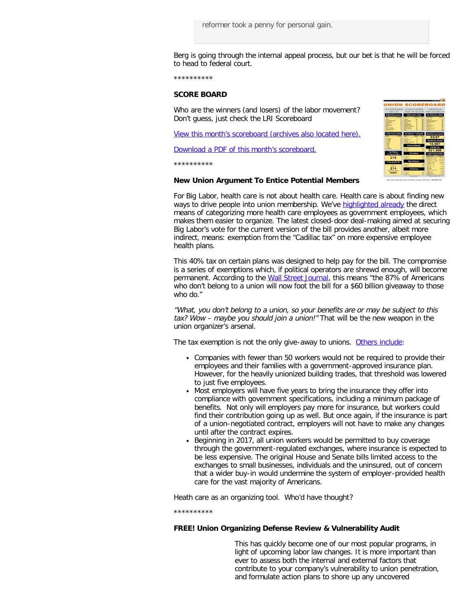reformer took a penny for personal gain.

Berg is going through the internal appeal process, but our bet is that he will be forced to head to federal court.

\*\*\*\*\*\*\*\*\*\*

### **SCORE BOARD**

Who are the winners (and losers) of the labor movement? Don't guess, just check the LRI Scoreboard

[View this month's scoreboard \(archives also located here\).](http://www.lrionline.com/current-scoreboard/)

[Download a PDF of this month's scoreboard.](http://www.lrionline.com/wp-content/uploads/INK_Scoreboard_Jan_10.pdf)

\*\*\*\*\*\*\*\*\*\*

#### **New Union Argument To Entice Potential Members**

For Big Labor, health care is not about health care. Health care is about finding new ways to drive people into union membership. We've [highlighted already](http://lrionline.com/health-care-reform-rainmaker-seiu) the direct means of categorizing more health care employees as government employees, which makes them easier to organize. The latest closed-door deal-making aimed at securing Big Labor's vote for the current version of the bill provides another, albeit more indirect, means: exemption from the "Cadillac tax" on more expensive employee health plans.

This 40% tax on certain plans was designed to help pay for the bill. The compromise is a series of exemptions which, if political operators are shrewd enough, will become permanent. According to the [Wall Street Journal](http://online.wsj.com/article/SB10001424052748703657604575004992410621692.html?mod=WSJ_Opinion_AboveLEFTTop), this means "the 87% of Americans who don't belong to a union will now foot the bill for a \$60 billion giveaway to those who do."

"What, you don't belong to a union, so your benefits are or may be subject to this tax? Wow - maybe you should join a union!" That will be the new weapon in the union organizer's arsenal.

The tax exemption is not the only give-away to unions. [Others include:](http://www.nypost.com/p/news/opinion/opedcolumnists/no_taxes_please_we_re_democrats_uUjHMALRMQBL4P6CHkBKhN)

- Companies with fewer than 50 workers would not be required to provide their employees and their families with a government-approved insurance plan. However, for the heavily unionized building trades, that threshold was lowered to just five employees.
- Most employers will have five years to bring the insurance they offer into compliance with government specifications, including a minimum package of benefits. Not only will employers pay more for insurance, but workers could find their contribution going up as well. But once again, if the insurance is part of a union-negotiated contract, employers will not have to make any changes until after the contract expires.
- Beginning in 2017, all union workers would be permitted to buy coverage through the government-regulated exchanges, where insurance is expected to be less expensive. The original House and Senate bills limited access to the exchanges to small businesses, individuals and the uninsured, out of concern that a wider buy-in would undermine the system of employer-provided health care for the vast majority of Americans.

Heath care as an organizing tool. Who'd have thought?

\*\*\*\*\*\*\*\*\*\*

#### **FREE! Union Organizing Defense Review & Vulnerability Audit**

This has quickly become one of our most popular programs, in light of upcoming labor law changes. It is more important than ever to assess both the internal and external factors that contribute to your company's vulnerability to union penetration, and formulate action plans to shore up any uncovered

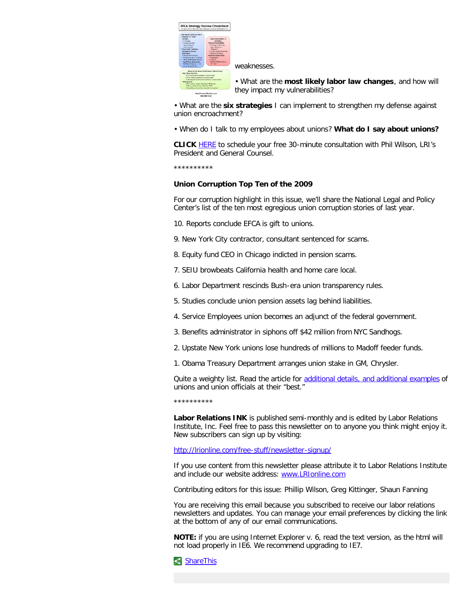

weaknesses.

• What are the **most likely labor law changes**, and how will they impact my vulnerabilities?

• What are the **six strategies** I can implement to strengthen my defense against union encroachment?

• When do I talk to my employees about unions? **What do I say about unions?**

**CLICK** [HERE](http://lrionline.com/employee-free-choice-act/efca-strategy-review/) to schedule your free 30-minute consultation with Phil Wilson, LRI's President and General Counsel.

\*\*\*\*\*\*\*\*\*\*

### **Union Corruption Top Ten of the 2009**

For our corruption highlight in this issue, we'll share the National Legal and Policy Center's list of the ten most egregious union corruption stories of last year.

10. Reports conclude EFCA is gift to unions.

- 9. New York City contractor, consultant sentenced for scams.
- 8. Equity fund CEO in Chicago indicted in pension scams.
- 7. SEIU browbeats California health and home care local.
- 6. Labor Department rescinds Bush-era union transparency rules.
- 5. Studies conclude union pension assets lag behind liabilities.
- 4. Service Employees union becomes an adjunct of the federal government.
- 3. Benefits administrator in siphons off \$42 million from NYC Sandhogs.
- 2. Upstate New York unions lose hundreds of millions to Madoff feeder funds.
- 1. Obama Treasury Department arranges union stake in GM, Chrysler.

Quite a weighty list. Read the article for [additional details, and additional examples](http://www.nlpc.org/stories/2010/01/13/top-ten-union-corruption-stories-year) of unions and union officials at their "best."

\*\*\*\*\*\*\*\*\*\*

**Labor Relations INK** is published semi-monthly and is edited by Labor Relations Institute, Inc. Feel free to pass this newsletter on to anyone you think might enjoy it. New subscribers can sign up by visiting:

<http://lrionline.com/free-stuff/newsletter-signup/>

If you use content from this newsletter please attribute it to Labor Relations Institute and include our website address: [www.LRIonline.com](http://www.lrionline.com/)

Contributing editors for this issue: Phillip Wilson, Greg Kittinger, Shaun Fanning

You are receiving this email because you subscribed to receive our labor relations newsletters and updates. You can manage your email preferences by clicking the link at the bottom of any of our email communications.

**NOTE:** if you are using Internet Explorer v. 6, read the text version, as the html will not load properly in IE6. We recommend upgrading to IE7.

[ShareThis](javascript:void(0))